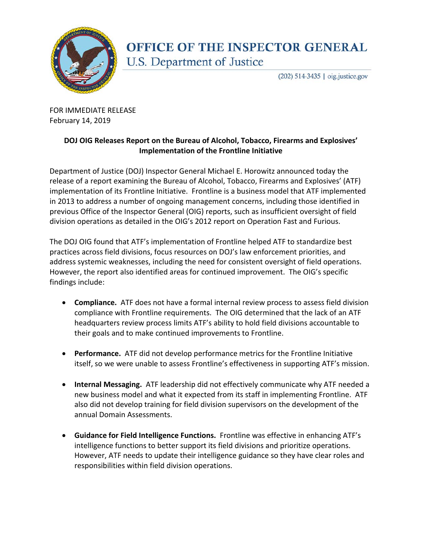

## **OFFICE OF THE INSPECTOR GENERAL** U.S. Department of Justice

 $(202)$  514-3435 | oig.justice.gov

FOR IMMEDIATE RELEASE February 14, 2019

## **DOJ OIG Releases Report on the Bureau of Alcohol, Tobacco, Firearms and Explosives' Implementation of the Frontline Initiative**

Department of Justice (DOJ) Inspector General Michael E. Horowitz announced today the release of a report examining the Bureau of Alcohol, Tobacco, Firearms and Explosives' (ATF) implementation of its Frontline Initiative. Frontline is a business model that ATF implemented in 2013 to address a number of ongoing management concerns, including those identified in previous Office of the Inspector General (OIG) reports, such as insufficient oversight of field division operations as detailed in the OIG's 2012 report on Operation Fast and Furious.

The DOJ OIG found that ATF's implementation of Frontline helped ATF to standardize best practices across field divisions, focus resources on DOJ's law enforcement priorities, and address systemic weaknesses, including the need for consistent oversight of field operations. However, the report also identified areas for continued improvement. The OIG's specific findings include:

- **Compliance.** ATF does not have a formal internal review process to assess field division compliance with Frontline requirements. The OIG determined that the lack of an ATF headquarters review process limits ATF's ability to hold field divisions accountable to their goals and to make continued improvements to Frontline.
- **Performance.** ATF did not develop performance metrics for the Frontline Initiative itself, so we were unable to assess Frontline's effectiveness in supporting ATF's mission.
- **Internal Messaging.** ATF leadership did not effectively communicate why ATF needed a new business model and what it expected from its staff in implementing Frontline. ATF also did not develop training for field division supervisors on the development of the annual Domain Assessments.
- **Guidance for Field Intelligence Functions.** Frontline was effective in enhancing ATF's intelligence functions to better support its field divisions and prioritize operations. However, ATF needs to update their intelligence guidance so they have clear roles and responsibilities within field division operations.